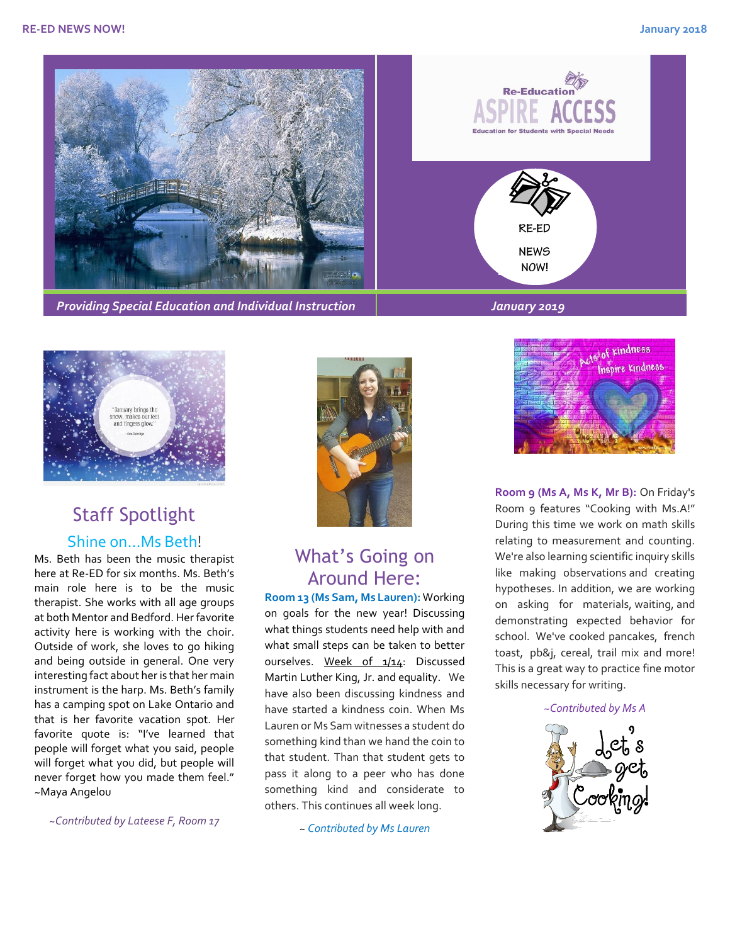



# Staff Spotlight Shine on...Ms Beth!

Ms. Beth has been the music therapist here at Re-ED for six months. Ms. Beth's main role here is to be the music therapist. She works with all age groups at both Mentor and Bedford. Her favorite activity here is working with the choir. Outside of work, she loves to go hiking and being outside in general. One very interesting fact about her is that her main instrument is the harp. Ms. Beth's family has a camping spot on Lake Ontario and that is her favorite vacation spot. Her favorite quote is: "I've learned that people will forget what you said, people will forget what you did, but people will never forget how you made them feel." ~Maya Angelou

*~Contributed by Lateese F, Room 17*



### What's Going on Around Here:

**Room 13 (Ms Sam, Ms Lauren):** Working on goals for the new year! Discussing what things students need help with and what small steps can be taken to better ourselves. Week of 1/14: Discussed Martin Luther King, Jr. and equality. We have also been discussing kindness and have started a kindness coin. When Ms Lauren or Ms Sam witnesses a student do something kind than we hand the coin to that student. Than that student gets to pass it along to a peer who has done something kind and considerate to others. This continues all week long.

~ *Contributed by Ms Lauren*



**Room 9 (Ms A, Ms K, Mr B):** On Friday's Room 9 features "Cooking with Ms.A!" During this time we work on math skills relating to measurement and counting. We're also learning scientific inquiry skills like making observations and creating hypotheses. In addition, we are working on asking for materials, waiting, and demonstrating expected behavior for school. We've cooked pancakes, french toast, pb&j, cereal, trail mix and more! This is a great way to practice fine motor skills necessary for writing.

*~Contributed by Ms A*